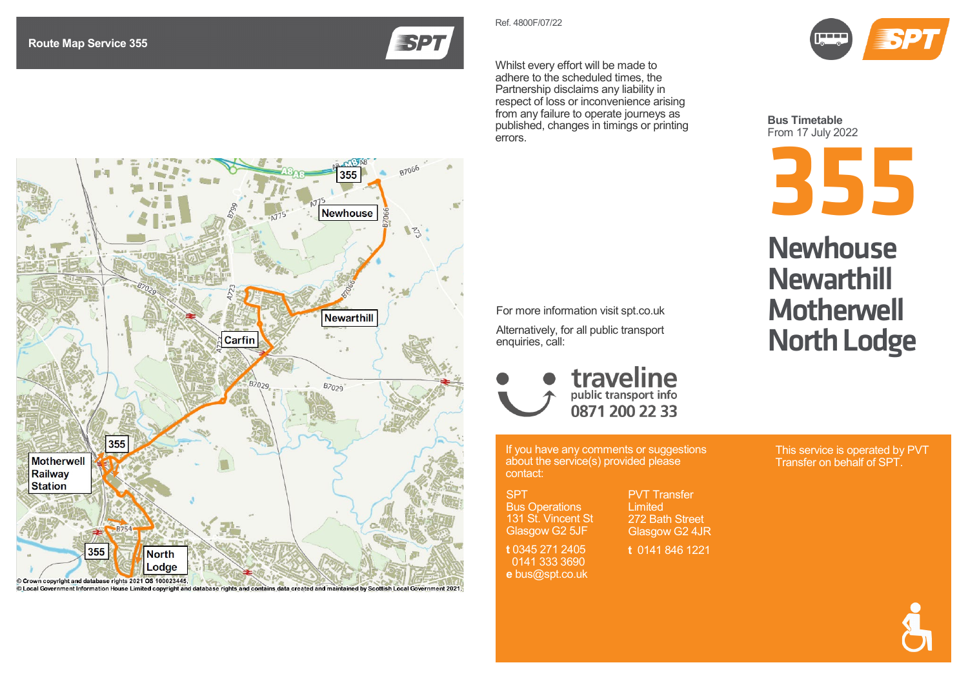

Whilst every effort will be made to adhere to the scheduled times, the Partnership disclaims any liability in respect of loss or inconvenience arising from any failure to operate journeys as published, changes in timings or printing errors.

Ref. 4800F/07 / 2 2



**Bus Timetable** From 1 7 July 20 2 2

**355**

## **Newhouse Newarthill Motherwell** North Lodge

This service is operated by PVT Transfer on behalf of SPT.



© Local Government Information House Limited copyright and database rights and contains data created and maintained by Scottish L

If you have any comments or suggestions about the service(s) provided please contact:

traveline

0871 200 22 33

For more information visit spt.co.uk Alternatively, for all public transport

SPT Bus Operations 131 St. Vincent St

enquiries, call:

Glasgow G2 5JF **t** 0345 271 2405

 0141 333 3690 **e** bus@spt.co.uk

PVT Transfer **Limited** 272 Bath Street Glasgow G2 4JR

**t** 0141 846 1221